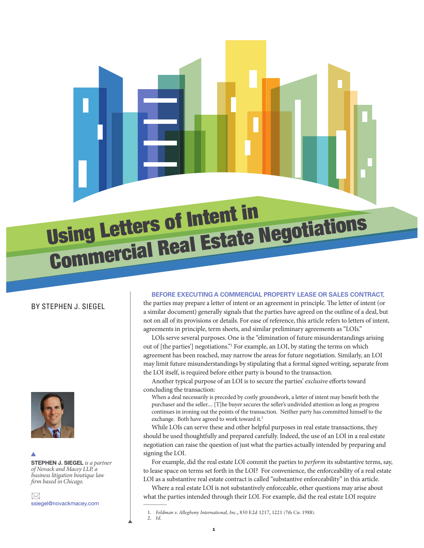

# BY STEPHEN J. SIEGEL



STEPHEN J. SIEGEL is a partner of Novack and Macey LLP, a business litigation boutique law firm based in Chicago.  $\blacktriangle$ 

 $\bowtie$ ssiegel@novackmacey.com

#### **BEFORE EXECUTING A COMMERCIAL PROPERTY LEASE OR SALES CONTRACT,**

the parties may prepare a letter of intent or an agreement in principle. The letter of intent (or a similar document) generally signals that the parties have agreed on the outline of a deal, but not on all of its provisions or details. For ease of reference, this article refers to letters of intent, agreements in principle, term sheets, and similar preliminary agreements as "LOIs."

LOIs serve several purposes. One is the "elimination of future misunderstandings arising out of [the parties'] negotiations."<sup>1</sup> For example, an LOI, by stating the terms on which agreement has been reached, may narrow the areas for future negotiation. Similarly, an LOI may limit future misunderstandings by stipulating that a formal signed writing, separate from the LOI itself, is required before either party is bound to the transaction.

Another typical purpose of an LOI is to secure the parties' exclusive efforts toward concluding the transaction:

When a deal necessarily is preceded by costly groundwork, a letter of intent may benefit both the purchaser and the seller.... [T]he buyer secures the seller's undivided attention as long as progress continues in ironing out the points of the transaction. Neither party has committed himself to the exchange. Both have agreed to work toward it.<sup>2</sup>

While LOIs can serve these and other helpful purposes in real estate transactions, they should be used thoughtfully and prepared carefully. Indeed, the use of an LOI in a real estate negotiation can raise the question of just what the parties actually intended by preparing and signing the LOI.

For example, did the real estate LOI commit the parties to perform its substantive terms, say, to lease space on terms set forth in the LOI? For convenience, the enforceability of a real estate LOI as a substantive real estate contract is called "substantive enforceability" in this article.

Where a real estate LOI is not substantively enforceable, other questions may arise about what the parties intended through their LOI. For example, did the real estate LOI require  $\overline{\phantom{a}}$ 

<sup>1.</sup> *Feldman v. Allegheny International, Inc.*, 850 F.2d 1217, 1221 (7th Cir. 1988). 2. *Id.*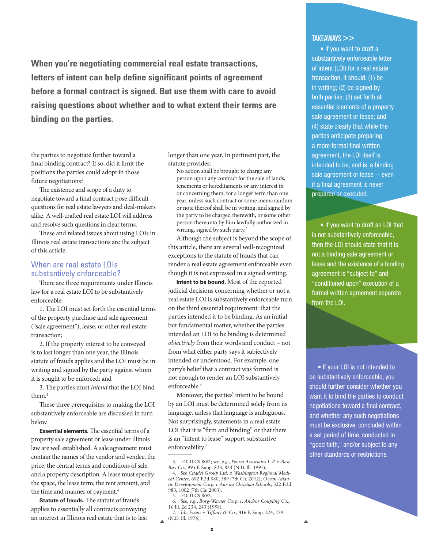**When you're negotiating commercial real estate transactions, letters of intent can help define significant points of agreement before a formal contract is signed. But use them with care to avoid raising questions about whether and to what extent their terms are binding on the parties.**

the parties to negotiate further toward a final binding contract? If so, did it limit the positions the parties could adopt in those future negotiations?

The existence and scope of a duty to negotiate toward a final contract pose difficult questions for real estate lawyers and deal-makers alike. A well-crafted real estate LOI will address and resolve such questions in clear terms.

These and related issues about using LOIs in Illinois real estate transactions are the subject of this article.

### When are real estate LOIs substantively enforceable?

There are three requirements under Illinois law for a real estate LOI to be substantively enforceable:

1. The LOI must set forth the essential terms of the property purchase and sale agreement ("sale agreement"), lease, or other real estate transaction;

2. If the property interest to be conveyed is to last longer than one year, the Illinois statute of frauds applies and the LOI must be in writing and signed by the party against whom it is sought to be enforced; and

3. The parties must intend that the LOI bind them.<sup>3</sup>

These three prerequisites to making the LOI substantively enforceable are discussed in turn below.

**Essential elements.** The essential terms of a property sale agreement or lease under Illinois law are well established. A sale agreement must contain the names of the vendor and vendee, the price, the central terms and conditions of sale, and a property description. A lease must specify the space, the lease term, the rent amount, and the time and manner of payment.<sup>4</sup>

**Statute of frauds.** The statute of frauds applies to essentially all contracts conveying an interest in Illinois real estate that is to last longer than one year. In pertinent part, the statute provides:

No action shall be brought to charge any person upon any contract for the sale of lands, tenements or hereditaments or any interest in or concerning them, for a longer term than one year, unless such contract or some memorandum or note thereof shall be in writing, and signed by the party to be charged therewith, or some other person thereunto by him lawfully authorized in writing, signed by such party.<sup>5</sup>

Although the subject is beyond the scope of this article, there are several well-recognized exceptions to the statute of frauds that can render a real estate agreement enforceable even though it is not expressed in a signed writing.

**Intent to be bound.** Most of the reported judicial decisions concerning whether or not a real estate LOI is substantively enforceable turn on the third essential requirement: that the parties intended it to be binding. As an initial but fundamental matter, whether the parties intended an LOI to be binding is determined objectively from their words and conduct – not from what either party says it subjectively intended or understood. For example, one party's belief that a contract was formed is not enough to render an LOI substantively enforceable.<sup>6</sup>

Moreover, the parties' intent to be bound by an LOI must be determined solely from its language, unless that language is ambiguous. Not surprisingly, statements in a real estate LOI that it is "firm and binding" or that there is an "intent to lease" support substantive enforceability.<sup>7</sup>

## TAKEAWAYS >>

• If you want to draft a substantively enforceable letter of intent (LOI) for a real estate transaction, it should: (1) be in writing; (2) be signed by both parties; (3) set forth all essential elements of a property sale agreement or lease; and (4) state clearly that while the parties anticipate preparing a more formal final written agreement, the LOI itself is intended to be, and is, a binding sale agreement or lease -- even if a final agreement is never prepared or executed.

• If you want to draft an LOI that is not substantively enforceable, then the LOI should state that it is not a binding sale agreement or lease and the existence of a binding agreement is "subject to" and "conditioned upon" execution of a formal written agreement separate from the LOI.

• If your LOI is not intended to be substantively enforceable, you should further consider whether you want it to bind the parties to conduct negotiations toward a final contract, and whether any such negotiations must be exclusive, concluded within a set period of time, conducted in "good faith," and/or subject to any other standards or restrictions.

<sup>3. 740</sup> ILCS 80/2; see, *e.g.*, *Peoria Associates L.P. v. Best Buy Co.*, 995 F. Supp. 823, 824 (N.D. Ill. 1997).

<sup>4.</sup> See *Citadel Group Ltd. v. Washington Regional Medical Center*, 692 F.3d 580, 589 (7th Cir. 2012); *Ocean Atlantic Development Corp. v Aurora Christian Schools*, 322 F.3d 983, 1002 (7th Cir. 2003).

<sup>5. 740</sup> ILCS 80/2.

<sup>6.</sup> See, *e.g.*, *Borg-Warner Corp. v. Anchor Coupling Co.*, 16 Ill. 2d 234, 243 (1958).

<sup>7.</sup> *Id.*; *Evans v. Tiffany & Co.*, 416 F. Supp. 224, 239 (N.D. Ill. 1976).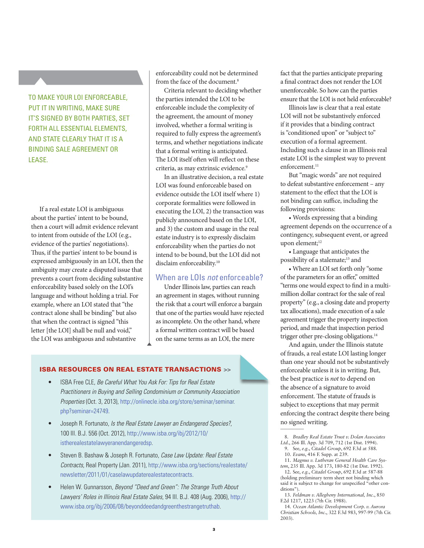TO MAKE YOUR LOI ENFORCEABLE, PUT IT IN WRITING, MAKE SURE IT'S SIGNED BY BOTH PARTIES, SET FORTH ALL ESSENTIAL ELEMENTS, AND STATE CLEARLY THAT IT IS A BINDING SALE AGREEMENT OR LEASE.

If a real estate LOI is ambiguous about the parties' intent to be bound, then a court will admit evidence relevant to intent from outside of the LOI (e.g., evidence of the parties' negotiations). Thus, if the parties' intent to be bound is expressed ambiguously in an LOI, then the ambiguity may create a disputed issue that prevents a court from deciding substantive enforceability based solely on the LOI's language and without holding a trial. For example, where an LOI stated that "the contract alone shall be binding" but also that when the contract is signed "this letter [the LOI] shall be null and void," the LOI was ambiguous and substantive

enforceability could not be determined from the face of the document.<sup>8</sup>

Criteria relevant to deciding whether the parties intended the LOI to be enforceable include the complexity of the agreement, the amount of money involved, whether a formal writing is required to fully express the agreement's terms, and whether negotiations indicate that a formal writing is anticipated. The LOI itself often will reflect on these criteria, as may extrinsic evidence.<sup>9</sup>

In an illustrative decision, a real estate LOI was found enforceable based on evidence outside the LOI itself where 1) corporate formalities were followed in executing the LOI, 2) the transaction was publicly announced based on the LOI, and 3) the custom and usage in the real estate industry is to expressly disclaim enforceability when the parties do not intend to be bound, but the LOI did not disclaim enforceability.<sup>10</sup>

### When are LOIs not enforceable?

Under Illinois law, parties can reach an agreement in stages, without running the risk that a court will enforce a bargain that one of the parties would have rejected as incomplete. On the other hand, where a formal written contract will be based on the same terms as an LOI, the mere

### ISBA RESOURCES ON REAL ESTATE TRANSACTIONS >>

- ISBA Free CLE, Be Careful What You Ask For: Tips for Real Estate Practitioners in Buying and Selling Condominium or Community Association Properties (Oct. 3, 2013), http://onlinecle.isba.org/store/seminar/seminar. php?seminar=24749.
- Joseph R. Fortunato, Is the Real Estate Lawyer an Endangered Species?, 100 Ill. B.J. 556 (Oct. 2012), http://www.isba.org/ibj/2012/10/ istherealestatelawyeranendangeredsp.
- Steven B. Bashaw & Joseph R. Fortunato, Case Law Update: Real Estate Contracts, Real Property (Jan. 2011), http://www.isba.org/sections/realestate/ newsletter/2011/01/caselawupdaterealestatecontracts.
- Helen W. Gunnarsson, Beyond "Deed and Green": The Strange Truth About Lawyers' Roles in Illinois Real Estate Sales, 94 Ill. B.J. 408 (Aug. 2006), http:// www.isba.org/ibj/2006/08/beyonddeedandgreenthestrangetruthab.

fact that the parties anticipate preparing a final contract does not render the LOI unenforceable. So how can the parties ensure that the LOI is not held enforceable?

Illinois law is clear that a real estate LOI will not be substantively enforced if it provides that a binding contract is "conditioned upon" or "subject to" execution of a formal agreement. Including such a clause in an Illinois real estate LOI is the simplest way to prevent enforcement.<sup>11</sup>

But "magic words" are not required to defeat substantive enforcement – any statement to the effect that the LOI is not binding can suffice, including the following provisions:

• Words expressing that a binding agreement depends on the occurrence of a contingency, subsequent event, or agreed upon element;<sup>12</sup>

• Language that anticipates the possibility of a stalemate;<sup>13</sup> and

• Where an LOI set forth only "some of the parameters for an offer," omitted "terms one would expect to find in a multimillion dollar contract for the sale of real property" (e.g., a closing date and property tax allocations), made execution of a sale agreement trigger the property inspection period, and made that inspection period trigger other pre-closing obligations.<sup>14</sup>

And again, under the Illinois statute of frauds, a real estate LOI lasting longer than one year should not be substantively enforceable unless it is in writing. But, the best practice is not to depend on the absence of a signature to avoid enforcement. The statute of frauds is subject to exceptions that may permit enforcing the contract despite there being no signed writing.  $\overline{\phantom{a}}$ 

11. *Magnus v. Lutheran General Health Care System*, 235 Ill. App. 3d 173, 180-82 (1st Dist. 1992). 12. See, *e.g.*, *Citadel Group*, 692 F.3d at 587-88

(holding preliminary term sheet not binding which said it is subject to change for unspecified "other conditions")

- 13. *Feldman v. Allegheny International, Inc.*, 850 F.2d 1217, 1223 (7th Cir. 1988).
- 14. *Ocean Atlantic Development Corp. v. Aurora Christian Schools, Inc.*, 322 F.3d 983, 997-99 (7th Cir. 2003).

<sup>8.</sup> *Bradley Real Estate Trust v. Dolan Associates Ltd.*, 266 Ill. App. 3d 709, 712 (1st Dist. 1994).

<sup>9.</sup> See, *e.g.*, *Citadel Group*, 692 F.3d at 588. 10. *Evans*, 416 F. Supp. at 239.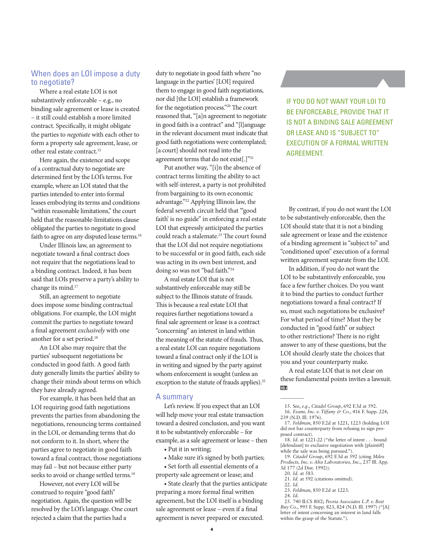## When does an LOI impose a duty to negotiate?

Where a real estate LOI is not substantively enforceable – e.g., no binding sale agreement or lease is created – it still could establish a more limited contract. Specifically, it might obligate the parties to negotiate with each other to form a property sale agreement, lease, or other real estate contract.<sup>15</sup>

Here again, the existence and scope of a contractual duty to negotiate are determined first by the LOI's terms. For example, where an LOI stated that the parties intended to enter into formal leases embodying its terms and conditions "within reasonable limitations," the court held that the reasonable-limitations clause obligated the parties to negotiate in good faith to agree on any disputed lease terms.<sup>16</sup>

Under Illinois law, an agreement to negotiate toward a final contract does not require that the negotiations lead to a binding contract. Indeed, it has been said that LOIs preserve a party's ability to change its mind.<sup>17</sup>

Still, an agreement to negotiate does impose some binding contractual obligations. For example, the LOI might commit the parties to negotiate toward a final agreement exclusively with one another for a set period.<sup>18</sup>

An LOI also may require that the parties' subsequent negotiations be conducted in good faith. A good faith duty generally limits the parties' ability to change their minds about terms on which they have already agreed.

For example, it has been held that an LOI requiring good faith negotiations prevents the parties from abandoning the negotiations, renouncing terms contained in the LOI, or demanding terms that do not conform to it. In short, where the parties agree to negotiate in good faith toward a final contract, those negotiations may fail – but not because either party seeks to avoid or change settled terms.<sup>19</sup>

However, not every LOI will be construed to require "good faith" negotiation. Again, the question will be resolved by the LOI's language. One court rejected a claim that the parties had a

duty to negotiate in good faith where "no language in the parties' [LOI] required them to engage in good faith negotiations, nor did [the LOI] establish a framework for the negotiation process."<sup>20</sup> The court reasoned that, "[a]n agreement to negotiate in good faith is a contract" and "[l]anguage in the relevant document must indicate that good faith negotiations were contemplated; [a court] should not read into the agreement terms that do not exist[.]"<sup>21</sup>

Put another way, "[i]n the absence of contract terms limiting the ability to act with self-interest, a party is not prohibited from bargaining to its own economic advantage."<sup>22</sup> Applying Illinois law, the federal seventh circuit held that "'good faith' is no guide" in enforcing a real estate LOI that expressly anticipated the parties could reach a stalemate.<sup>23</sup> The court found that the LOI did not require negotiations to be successful or in good faith, each side was acting in its own best interest, and doing so was not "bad faith."<sup>24</sup>

A real estate LOI that is not substantively enforceable may still be subject to the Illinois statute of frauds. This is because a real estate LOI that requires further negotiations toward a final sale agreement or lease is a contract "concerning" an interest in land within the meaning of the statute of frauds. Thus, a real estate LOI can require negotiations toward a final contract only if the LOI is in writing and signed by the party against whom enforcement is sought (unless an exception to the statute of frauds applies).<sup>25</sup>

#### A summary

Let's review. If you expect that an LOI will help move your real estate transaction toward a desired conclusion, and you want it to be substantively enforceable – for example, as a sale agreement or lease – then

- Put it in writing;
- Make sure it's signed by both parties;

• Set forth all essential elements of a

property sale agreement or lease; and • State clearly that the parties anticipate preparing a more formal final written

agreement, but the LOI itself is a binding sale agreement or lease - even if a final agreement is never prepared or executed.

IF YOU DO NOT WANT YOUR LOI TO BE ENFORCEABLE, PROVIDE THAT IT IS NOT A BINDING SALE AGREEMENT OR LEASE AND IS "SUBJECT TO" EXECUTION OF A FORMAL WRITTEN AGREEMENT.

By contrast, if you do not want the LOI to be substantively enforceable, then the LOI should state that it is not a binding sale agreement or lease and the existence of a binding agreement is "subject to" and "conditioned upon" execution of a formal written agreement separate from the LOI.

In addition, if you do not want the LOI to be substantively enforceable, you face a few further choices. Do you want it to bind the parties to conduct further negotiations toward a final contract? If so, must such negotiations be exclusive? For what period of time? Must they be conducted in "good faith" or subject to other restrictions? There is no right answer to any of these questions, but the LOI should clearly state the choices that you and your counterparty make.

A real estate LOI that is not clear on these fundamental points invites a lawsuit. ाञ्चा

- 17. *Feldman*, 850 F.2d at 1221, 1223 (holding LOI did not bar counterparty from refusing to sign proposed contract).
- 18. *Id.* at 1221-22 ("the letter of intent . . . bound [defendant] to exclusive negotiation with [plaintiff] while the sale was being pursued.").
- 19. *Citadel Group*, 692 F.3d at 592 (citing *Milex Products, Inc. v. Alra Laboratories, Inc.*, 237 Ill. App. 3d 177 (2d Dist. 1992)).
- 20. *Id.* at 583.
- 21. *Id.* at 592 (citations omitted). 22. *Id.*
- 

 $\overline{\phantom{a}}$ 

23. *Feldman*, 850 F.2d at 1223. 24. *Id.*

<sup>15.</sup> See, *e.g.*, *Citadel Group*, 692 F.3d at 592.

<sup>16.</sup> *Evans, Inc. v. Tiffany & Co.*, 416 F. Supp. 224, 239 (N.D. Ill. 1976).

<sup>25. 740</sup> ILCS 80/2; *Peoria Associates L.P. v. Best Buy Co.*, 995 F. Supp. 823, 824 (N.D. Ill. 1997) ("[A] letter of intent concerning an interest in land falls within the grasp of the Statute.").